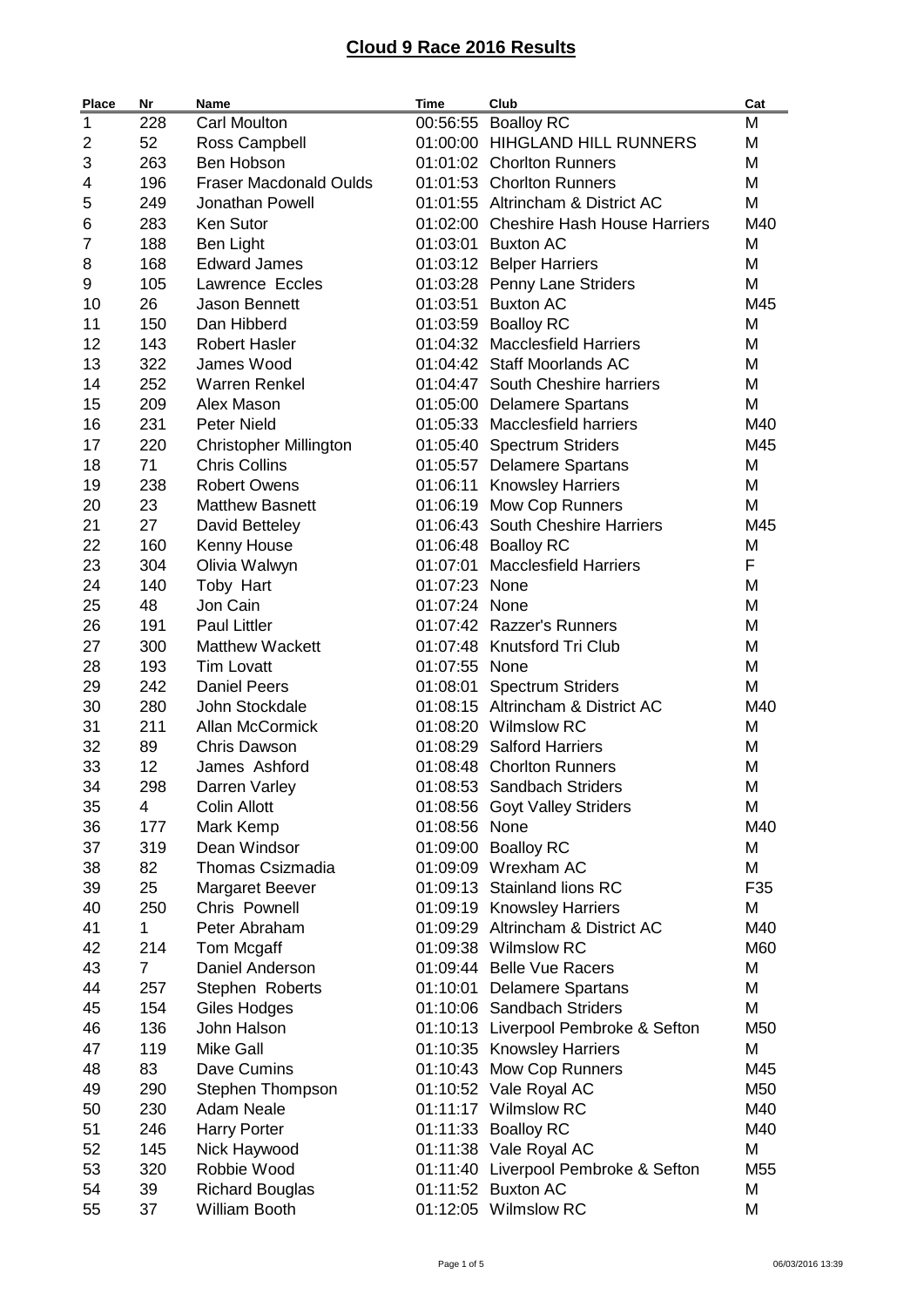| <b>Place</b> | Nr             | <b>Name</b>                   | Time          | Club                                  | Cat |
|--------------|----------------|-------------------------------|---------------|---------------------------------------|-----|
| 1            | 228            | <b>Carl Moulton</b>           | 00:56:55      | <b>Boalloy RC</b>                     | M   |
| 2            | 52             | Ross Campbell                 |               | 01:00:00 HIHGLAND HILL RUNNERS        | M   |
| 3            | 263            | Ben Hobson                    |               | 01:01:02 Chorlton Runners             | Μ   |
| 4            | 196            | <b>Fraser Macdonald Oulds</b> |               | 01:01:53 Chorlton Runners             | Μ   |
| 5            | 249            | Jonathan Powell               |               | 01:01:55 Altrincham & District AC     | M   |
| 6            | 283            | Ken Sutor                     |               | 01:02:00 Cheshire Hash House Harriers | M40 |
| 7            | 188            | <b>Ben Light</b>              |               | 01:03:01 Buxton AC                    | М   |
| 8            | 168            | <b>Edward James</b>           |               | 01:03:12 Belper Harriers              | М   |
| 9            | 105            | Lawrence Eccles               |               | 01:03:28 Penny Lane Striders          | Μ   |
| 10           | 26             | <b>Jason Bennett</b>          |               | 01:03:51 Buxton AC                    | M45 |
| 11           | 150            | Dan Hibberd                   |               | 01:03:59 Boalloy RC                   | M   |
| 12           | 143            | <b>Robert Hasler</b>          |               | 01:04:32 Macclesfield Harriers        | M   |
| 13           | 322            | James Wood                    |               | 01:04:42 Staff Moorlands AC           | М   |
| 14           | 252            | <b>Warren Renkel</b>          |               | 01:04:47 South Cheshire harriers      | М   |
| 15           | 209            | Alex Mason                    |               | 01:05:00 Delamere Spartans            | Μ   |
| 16           | 231            | <b>Peter Nield</b>            |               | 01:05:33 Macclesfield harriers        | M40 |
| 17           | 220            | <b>Christopher Millington</b> |               | 01:05:40 Spectrum Striders            | M45 |
| 18           | 71             | <b>Chris Collins</b>          |               | 01:05:57 Delamere Spartans            | M   |
| 19           | 238            | <b>Robert Owens</b>           |               | 01:06:11 Knowsley Harriers            | М   |
| 20           | 23             | <b>Matthew Basnett</b>        |               | 01:06:19 Mow Cop Runners              | М   |
| 21           | 27             | David Betteley                |               | 01:06:43 South Cheshire Harriers      | M45 |
| 22           | 160            |                               |               | 01:06:48 Boalloy RC                   | M   |
|              | 304            | Kenny House                   |               | 01:07:01 Macclesfield Harriers        | F   |
| 23           |                | Olivia Walwyn                 |               |                                       |     |
| 24           | 140            | Toby Hart                     | 01:07:23 None |                                       | M   |
| 25           | 48             | Jon Cain                      | 01:07:24 None |                                       | M   |
| 26           | 191            | <b>Paul Littler</b>           |               | 01:07:42 Razzer's Runners             | М   |
| 27           | 300            | <b>Matthew Wackett</b>        |               | 01:07:48 Knutsford Tri Club           | М   |
| 28           | 193            | <b>Tim Lovatt</b>             | 01:07:55 None |                                       | М   |
| 29           | 242            | <b>Daniel Peers</b>           |               | 01:08:01 Spectrum Striders            | M   |
| 30           | 280            | John Stockdale                |               | 01:08:15 Altrincham & District AC     | M40 |
| 31           | 211            | Allan McCormick               |               | 01:08:20 Wilmslow RC                  | М   |
| 32           | 89             | <b>Chris Dawson</b>           |               | 01:08:29 Salford Harriers             | M   |
| 33           | 12             | James Ashford                 |               | 01:08:48 Chorlton Runners             | M   |
| 34           | 298            | Darren Varley                 |               | 01:08:53 Sandbach Striders            | Μ   |
| 35           | 4              | <b>Colin Allott</b>           |               | 01:08:56 Goyt Valley Striders         | M   |
| 36           | 177            | Mark Kemp                     | 01:08:56 None |                                       | M40 |
| 37           | 319            | Dean Windsor                  |               | 01:09:00 Boalloy RC                   | M   |
| 38           | 82             | <b>Thomas Csizmadia</b>       |               | 01:09:09 Wrexham AC                   | M   |
| 39           | 25             | Margaret Beever               |               | 01:09:13 Stainland lions RC           | F35 |
| 40           | 250            | Chris Pownell                 |               | 01:09:19 Knowsley Harriers            | М   |
| 41           | $\mathbf{1}$   | Peter Abraham                 |               | 01:09:29 Altrincham & District AC     | M40 |
| 42           | 214            | Tom Mcgaff                    |               | 01:09:38 Wilmslow RC                  | M60 |
| 43           | $\overline{7}$ | Daniel Anderson               |               | 01:09:44 Belle Vue Racers             | М   |
| 44           | 257            | Stephen Roberts               |               | 01:10:01 Delamere Spartans            | М   |
| 45           | 154            | Giles Hodges                  |               | 01:10:06 Sandbach Striders            | М   |
| 46           | 136            | John Halson                   |               | 01:10:13 Liverpool Pembroke & Sefton  | M50 |
| 47           | 119            | <b>Mike Gall</b>              |               | 01:10:35 Knowsley Harriers            | M   |
| 48           | 83             | Dave Cumins                   |               | 01:10:43 Mow Cop Runners              | M45 |
| 49           | 290            | Stephen Thompson              |               | 01:10:52 Vale Royal AC                | M50 |
| 50           | 230            | <b>Adam Neale</b>             |               | 01:11:17 Wilmslow RC                  | M40 |
| 51           | 246            | <b>Harry Porter</b>           |               | 01:11:33 Boalloy RC                   | M40 |
| 52           | 145            | Nick Haywood                  |               | 01:11:38 Vale Royal AC                | M   |
| 53           | 320            | Robbie Wood                   |               | 01:11:40 Liverpool Pembroke & Sefton  | M55 |
| 54           | 39             | <b>Richard Bouglas</b>        |               | 01:11:52 Buxton AC                    | М   |
| 55           | 37             | William Booth                 |               | 01:12:05 Wilmslow RC                  | Μ   |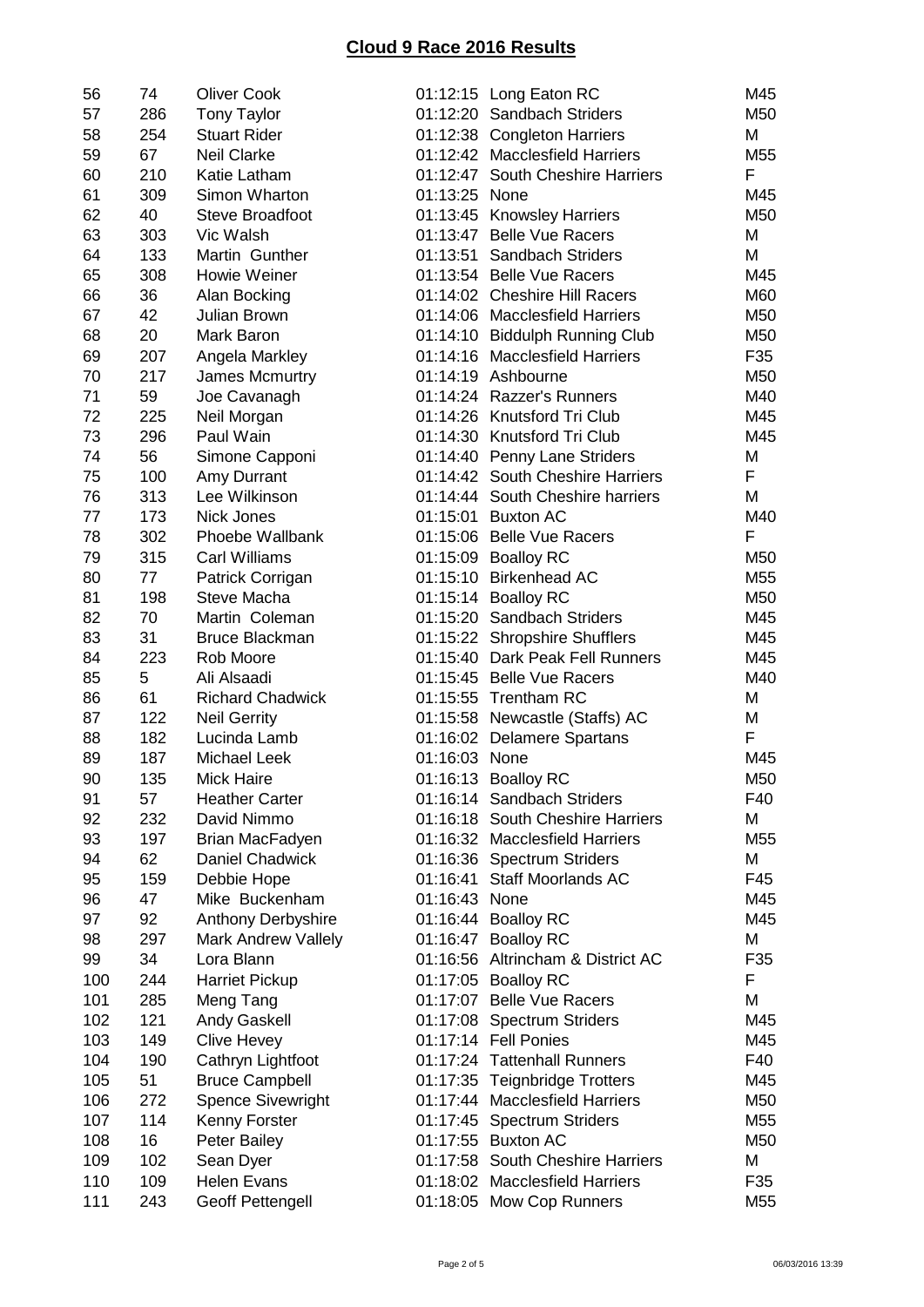| 56  | 74  | <b>Oliver Cook</b>        |               | 01:12:15 Long Eaton RC            | M45             |
|-----|-----|---------------------------|---------------|-----------------------------------|-----------------|
| 57  | 286 | <b>Tony Taylor</b>        |               | 01:12:20 Sandbach Striders        | M50             |
| 58  | 254 | <b>Stuart Rider</b>       |               | 01:12:38 Congleton Harriers       | M               |
| 59  | 67  | <b>Neil Clarke</b>        |               | 01:12:42 Macclesfield Harriers    | M <sub>55</sub> |
| 60  | 210 | Katie Latham              |               | 01:12:47 South Cheshire Harriers  | F               |
| 61  | 309 | Simon Wharton             | 01:13:25 None |                                   | M45             |
| 62  | 40  | Steve Broadfoot           |               | 01:13:45 Knowsley Harriers        | M50             |
| 63  | 303 | Vic Walsh                 |               | 01:13:47 Belle Vue Racers         | M               |
| 64  | 133 | Martin Gunther            |               | 01:13:51 Sandbach Striders        | M               |
| 65  | 308 | Howie Weiner              |               | 01:13:54 Belle Vue Racers         | M45             |
| 66  | 36  | Alan Bocking              |               | 01:14:02 Cheshire Hill Racers     | M60             |
| 67  | 42  | <b>Julian Brown</b>       |               | 01:14:06 Macclesfield Harriers    | M50             |
| 68  | 20  | Mark Baron                |               | 01:14:10 Biddulph Running Club    | M50             |
| 69  | 207 | Angela Markley            |               | 01:14:16 Macclesfield Harriers    | F35             |
| 70  | 217 | James Mcmurtry            |               | 01:14:19 Ashbourne                | M50             |
| 71  | 59  | Joe Cavanagh              |               | 01:14:24 Razzer's Runners         | M40             |
| 72  | 225 | Neil Morgan               |               | 01:14:26 Knutsford Tri Club       | M45             |
| 73  | 296 | Paul Wain                 |               | 01:14:30 Knutsford Tri Club       | M45             |
| 74  | 56  |                           |               |                                   | M               |
|     |     | Simone Capponi            |               | 01:14:40 Penny Lane Striders      | F               |
| 75  | 100 | Amy Durrant               |               | 01:14:42 South Cheshire Harriers  |                 |
| 76  | 313 | Lee Wilkinson             |               | 01:14:44 South Cheshire harriers  | M               |
| 77  | 173 | Nick Jones                |               | 01:15:01 Buxton AC                | M40             |
| 78  | 302 | Phoebe Wallbank           |               | 01:15:06 Belle Vue Racers         | F               |
| 79  | 315 | <b>Carl Williams</b>      |               | 01:15:09 Boalloy RC               | M50             |
| 80  | 77  | Patrick Corrigan          |               | 01:15:10 Birkenhead AC            | M <sub>55</sub> |
| 81  | 198 | Steve Macha               |               | 01:15:14 Boalloy RC               | M50             |
| 82  | 70  | Martin Coleman            |               | 01:15:20 Sandbach Striders        | M45             |
| 83  | 31  | <b>Bruce Blackman</b>     |               | 01:15:22 Shropshire Shufflers     | M45             |
| 84  | 223 | Rob Moore                 |               | 01:15:40 Dark Peak Fell Runners   | M45             |
| 85  | 5   | Ali Alsaadi               |               | 01:15:45 Belle Vue Racers         | M40             |
| 86  | 61  | <b>Richard Chadwick</b>   |               | 01:15:55 Trentham RC              | M               |
| 87  | 122 | <b>Neil Gerrity</b>       |               | 01:15:58 Newcastle (Staffs) AC    | M               |
| 88  | 182 | Lucinda Lamb              |               | 01:16:02 Delamere Spartans        | F               |
| 89  | 187 | <b>Michael Leek</b>       | 01:16:03 None |                                   | M45             |
| 90  | 135 | Mick Haire                |               | 01:16:13 Boalloy RC               | M50             |
| 91  | 57  | <b>Heather Carter</b>     |               | 01:16:14 Sandbach Striders        | F40             |
| 92  | 232 | David Nimmo               |               | 01:16:18 South Cheshire Harriers  | M               |
| 93  | 197 | Brian MacFadyen           |               | 01:16:32 Macclesfield Harriers    | M <sub>55</sub> |
| 94  | 62  | <b>Daniel Chadwick</b>    |               | 01:16:36 Spectrum Striders        | M               |
| 95  | 159 | Debbie Hope               | 01:16:41      | <b>Staff Moorlands AC</b>         | F45             |
| 96  | 47  | Mike Buckenham            | 01:16:43      | None                              | M45             |
| 97  | 92  | <b>Anthony Derbyshire</b> | 01:16:44      | <b>Boalloy RC</b>                 | M45             |
| 98  | 297 | Mark Andrew Vallely       | 01:16:47      | <b>Boalloy RC</b>                 | M               |
| 99  | 34  | Lora Blann                |               | 01:16:56 Altrincham & District AC | F35             |
| 100 | 244 | <b>Harriet Pickup</b>     |               | 01:17:05 Boalloy RC               | F               |
| 101 | 285 | Meng Tang                 |               | 01:17:07 Belle Vue Racers         | M               |
| 102 | 121 | <b>Andy Gaskell</b>       |               | 01:17:08 Spectrum Striders        | M45             |
| 103 | 149 | <b>Clive Hevey</b>        |               | 01:17:14 Fell Ponies              | M45             |
| 104 | 190 | Cathryn Lightfoot         |               | 01:17:24 Tattenhall Runners       | F40             |
| 105 | 51  | <b>Bruce Campbell</b>     |               | 01:17:35 Teignbridge Trotters     | M45             |
| 106 | 272 | <b>Spence Sivewright</b>  |               | 01:17:44 Macclesfield Harriers    | M50             |
|     |     |                           |               |                                   |                 |
| 107 | 114 | Kenny Forster             |               | 01:17:45 Spectrum Striders        | M55             |
| 108 | 16  | <b>Peter Bailey</b>       |               | 01:17:55 Buxton AC                | M50             |
| 109 | 102 | Sean Dyer                 |               | 01:17:58 South Cheshire Harriers  | M               |
| 110 | 109 | <b>Helen Evans</b>        |               | 01:18:02 Macclesfield Harriers    | F35             |
| 111 | 243 | <b>Geoff Pettengell</b>   |               | 01:18:05 Mow Cop Runners          | M <sub>55</sub> |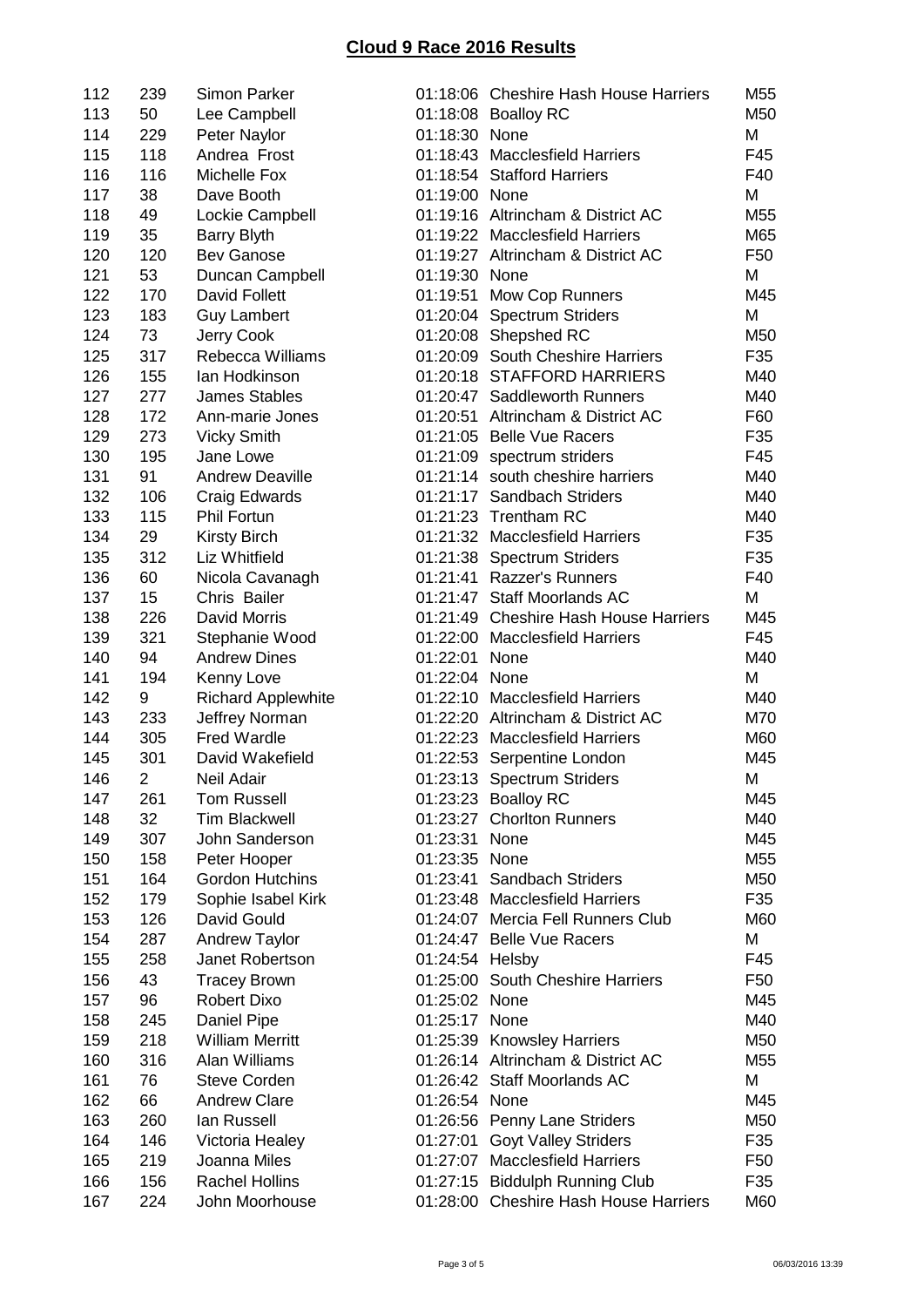| 112 | 239            | <b>Simon Parker</b>            |                 | 01:18:06 Cheshire Hash House Harriers                    | M55             |
|-----|----------------|--------------------------------|-----------------|----------------------------------------------------------|-----------------|
| 113 | 50             | Lee Campbell                   |                 | 01:18:08 Boalloy RC                                      | M50             |
| 114 | 229            | Peter Naylor                   | 01:18:30 None   |                                                          | M               |
| 115 | 118            | Andrea Frost                   |                 | 01:18:43 Macclesfield Harriers                           | F45             |
| 116 | 116            | Michelle Fox                   |                 | 01:18:54 Stafford Harriers                               | F40             |
| 117 | 38             | Dave Booth                     | 01:19:00 None   |                                                          | M               |
| 118 | 49             | Lockie Campbell                |                 | 01:19:16 Altrincham & District AC                        | M55             |
| 119 | 35             | <b>Barry Blyth</b>             |                 | 01:19:22 Macclesfield Harriers                           | M65             |
| 120 | 120            | <b>Bev Ganose</b>              |                 | 01:19:27 Altrincham & District AC                        | F <sub>50</sub> |
| 121 | 53             | Duncan Campbell                | 01:19:30 None   |                                                          | M               |
| 122 | 170            | David Follett                  | 01:19:51        | Mow Cop Runners                                          | M45             |
| 123 | 183            | <b>Guy Lambert</b>             |                 | 01:20:04 Spectrum Striders                               | M               |
| 124 | 73             |                                |                 |                                                          | M50             |
|     | 317            | Jerry Cook<br>Rebecca Williams |                 | 01:20:08 Shepshed RC<br>01:20:09 South Cheshire Harriers |                 |
| 125 |                |                                |                 |                                                          | F35             |
| 126 | 155            | lan Hodkinson                  |                 | 01:20:18 STAFFORD HARRIERS                               | M40             |
| 127 | 277            | <b>James Stables</b>           |                 | 01:20:47 Saddleworth Runners                             | M40             |
| 128 | 172            | Ann-marie Jones                | 01:20:51        | Altrincham & District AC                                 | F60             |
| 129 | 273            | <b>Vicky Smith</b>             |                 | 01:21:05 Belle Vue Racers                                | F35             |
| 130 | 195            | Jane Lowe                      |                 | 01:21:09 spectrum striders                               | F45             |
| 131 | 91             | <b>Andrew Deaville</b>         |                 | 01:21:14 south cheshire harriers                         | M40             |
| 132 | 106            | Craig Edwards                  |                 | 01:21:17 Sandbach Striders                               | M40             |
| 133 | 115            | <b>Phil Fortun</b>             |                 | 01:21:23 Trentham RC                                     | M40             |
| 134 | 29             | <b>Kirsty Birch</b>            |                 | 01:21:32 Macclesfield Harriers                           | F35             |
| 135 | 312            | Liz Whitfield                  |                 | 01:21:38 Spectrum Striders                               | F35             |
| 136 | 60             | Nicola Cavanagh                |                 | 01:21:41 Razzer's Runners                                | F40             |
| 137 | 15             | Chris Bailer                   |                 | 01:21:47 Staff Moorlands AC                              | M               |
| 138 | 226            | David Morris                   |                 | 01:21:49 Cheshire Hash House Harriers                    | M45             |
| 139 | 321            | Stephanie Wood                 |                 | 01:22:00 Macclesfield Harriers                           | F45             |
| 140 | 94             | <b>Andrew Dines</b>            | 01:22:01        | None                                                     | M40             |
| 141 | 194            | Kenny Love                     | 01:22:04 None   |                                                          | M               |
| 142 | 9              | <b>Richard Applewhite</b>      |                 | 01:22:10 Macclesfield Harriers                           | M40             |
| 143 | 233            | Jeffrey Norman                 |                 | 01:22:20 Altrincham & District AC                        | M70             |
| 144 | 305            | <b>Fred Wardle</b>             |                 | 01:22:23 Macclesfield Harriers                           | M60             |
| 145 | 301            | David Wakefield                |                 | 01:22:53 Serpentine London                               | M45             |
| 146 | $\overline{c}$ | Neil Adair                     |                 | 01:23:13 Spectrum Striders                               | M               |
| 147 | 261            | <b>Tom Russell</b>             |                 | 01:23:23 Boalloy RC                                      | M45             |
| 148 | 32             | <b>Tim Blackwell</b>           |                 | 01:23:27 Chorlton Runners                                | M40             |
| 149 | 307            | John Sanderson                 | 01:23:31 None   |                                                          | M45             |
| 150 | 158            | Peter Hooper                   | 01:23:35 None   |                                                          | M55             |
| 151 | 164            | <b>Gordon Hutchins</b>         | 01:23:41        | <b>Sandbach Striders</b>                                 | M50             |
| 152 | 179            | Sophie Isabel Kirk             | 01:23:48        | <b>Macclesfield Harriers</b>                             | F35             |
| 153 | 126            | David Gould                    | 01:24:07        | Mercia Fell Runners Club                                 | M60             |
| 154 | 287            | Andrew Taylor                  |                 | 01:24:47 Belle Vue Racers                                | M               |
|     | 258            | Janet Robertson                |                 |                                                          | F45             |
| 155 |                |                                | 01:24:54 Helsby |                                                          |                 |
| 156 | 43             | <b>Tracey Brown</b>            |                 | 01:25:00 South Cheshire Harriers                         | F <sub>50</sub> |
| 157 | 96             | <b>Robert Dixo</b>             | 01:25:02 None   |                                                          | M45             |
| 158 | 245            | Daniel Pipe                    | 01:25:17 None   |                                                          | M40             |
| 159 | 218            | <b>William Merritt</b>         |                 | 01:25:39 Knowsley Harriers                               | M50             |
| 160 | 316            | Alan Williams                  |                 | 01:26:14 Altrincham & District AC                        | M55             |
| 161 | 76             | <b>Steve Corden</b>            |                 | 01:26:42 Staff Moorlands AC                              | Μ               |
| 162 | 66             | <b>Andrew Clare</b>            | 01:26:54 None   |                                                          | M45             |
| 163 | 260            | lan Russell                    |                 | 01:26:56 Penny Lane Striders                             | M50             |
| 164 | 146            | Victoria Healey                | 01:27:01        | <b>Goyt Valley Striders</b>                              | F35             |
| 165 | 219            | Joanna Miles                   | 01:27:07        | <b>Macclesfield Harriers</b>                             | F <sub>50</sub> |
| 166 | 156            | <b>Rachel Hollins</b>          |                 | 01:27:15 Biddulph Running Club                           | F35             |
| 167 | 224            | John Moorhouse                 |                 | 01:28:00 Cheshire Hash House Harriers                    | M60             |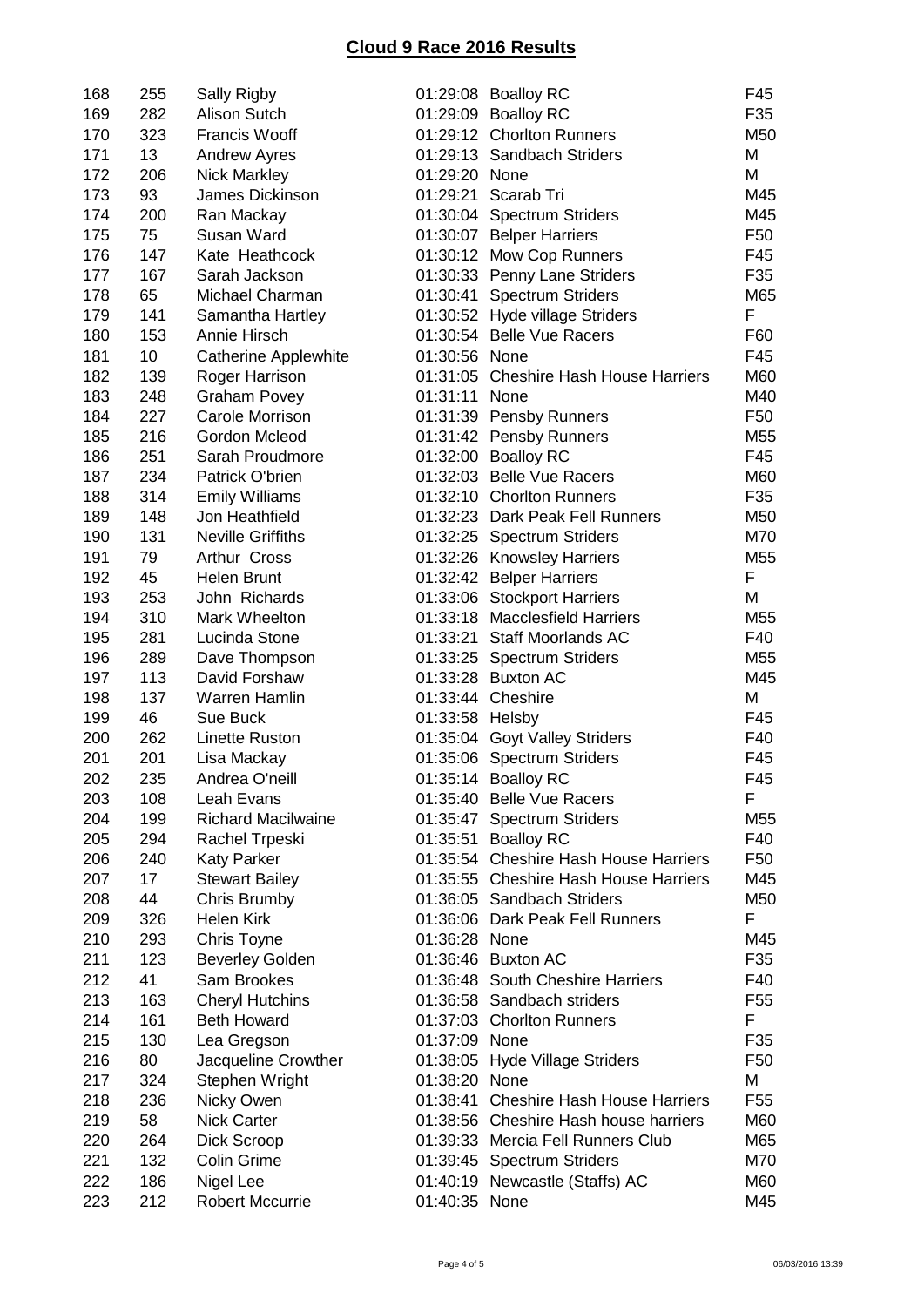| 168 | 255 | Sally Rigby                 |                 | 01:29:08 Boalloy RC                   | F45             |
|-----|-----|-----------------------------|-----------------|---------------------------------------|-----------------|
| 169 | 282 | <b>Alison Sutch</b>         |                 | 01:29:09 Boalloy RC                   | F35             |
| 170 | 323 | <b>Francis Wooff</b>        |                 | 01:29:12 Chorlton Runners             | M50             |
| 171 | 13  | <b>Andrew Ayres</b>         |                 | 01:29:13 Sandbach Striders            | M               |
| 172 | 206 | <b>Nick Markley</b>         | 01:29:20 None   |                                       | M               |
| 173 | 93  | James Dickinson             |                 | 01:29:21 Scarab Tri                   | M45             |
| 174 | 200 | Ran Mackay                  |                 | 01:30:04 Spectrum Striders            | M45             |
| 175 | 75  | Susan Ward                  |                 | 01:30:07 Belper Harriers              | F <sub>50</sub> |
| 176 | 147 | Kate Heathcock              |                 | 01:30:12 Mow Cop Runners              | F45             |
| 177 | 167 | Sarah Jackson               |                 | 01:30:33 Penny Lane Striders          | F35             |
| 178 | 65  | Michael Charman             | 01:30:41        | <b>Spectrum Striders</b>              | M65             |
| 179 | 141 | Samantha Hartley            |                 | 01:30:52 Hyde village Striders        | F               |
| 180 | 153 | Annie Hirsch                |                 | 01:30:54 Belle Vue Racers             | F60             |
| 181 | 10  | <b>Catherine Applewhite</b> | 01:30:56 None   |                                       | F45             |
| 182 | 139 | Roger Harrison              |                 | 01:31:05 Cheshire Hash House Harriers | M60             |
| 183 | 248 | <b>Graham Povey</b>         | 01:31:11        | None                                  | M40             |
| 184 | 227 | Carole Morrison             |                 | 01:31:39 Pensby Runners               | F <sub>50</sub> |
| 185 | 216 | Gordon Mcleod               |                 | 01:31:42 Pensby Runners               | M55             |
| 186 | 251 | Sarah Proudmore             |                 |                                       | F45             |
|     |     |                             |                 | 01:32:00 Boalloy RC                   |                 |
| 187 | 234 | Patrick O'brien             |                 | 01:32:03 Belle Vue Racers             | M60             |
| 188 | 314 | <b>Emily Williams</b>       |                 | 01:32:10 Chorlton Runners             | F35             |
| 189 | 148 | Jon Heathfield              |                 | 01:32:23 Dark Peak Fell Runners       | M50             |
| 190 | 131 | <b>Neville Griffiths</b>    |                 | 01:32:25 Spectrum Striders            | M70             |
| 191 | 79  | Arthur Cross                |                 | 01:32:26 Knowsley Harriers            | M55             |
| 192 | 45  | <b>Helen Brunt</b>          |                 | 01:32:42 Belper Harriers              | F               |
| 193 | 253 | John Richards               |                 | 01:33:06 Stockport Harriers           | M               |
| 194 | 310 | Mark Wheelton               |                 | 01:33:18 Macclesfield Harriers        | M55             |
| 195 | 281 | Lucinda Stone               | 01:33:21        | Staff Moorlands AC                    | F40             |
| 196 | 289 | Dave Thompson               |                 | 01:33:25 Spectrum Striders            | M <sub>55</sub> |
| 197 | 113 | David Forshaw               |                 | 01:33:28 Buxton AC                    | M45             |
| 198 | 137 | Warren Hamlin               |                 | 01:33:44 Cheshire                     | M               |
| 199 | 46  | Sue Buck                    | 01:33:58 Helsby |                                       | F45             |
| 200 | 262 | <b>Linette Ruston</b>       |                 | 01:35:04 Goyt Valley Striders         | F40             |
| 201 | 201 | Lisa Mackay                 |                 | 01:35:06 Spectrum Striders            | F45             |
| 202 | 235 | Andrea O'neill              |                 | 01:35:14 Boalloy RC                   | F45             |
| 203 | 108 | Leah Evans                  |                 | 01:35:40 Belle Vue Racers             | F               |
| 204 | 199 | <b>Richard Macilwaine</b>   |                 | 01:35:47 Spectrum Striders            | M55             |
| 205 | 294 | Rachel Trpeski              |                 | 01:35:51 Boalloy RC                   | F40             |
| 206 | 240 | <b>Katy Parker</b>          |                 | 01:35:54 Cheshire Hash House Harriers | F <sub>50</sub> |
| 207 | 17  | <b>Stewart Bailey</b>       |                 | 01:35:55 Cheshire Hash House Harriers | M45             |
| 208 | 44  | Chris Brumby                |                 | 01:36:05 Sandbach Striders            | M50             |
| 209 | 326 | <b>Helen Kirk</b>           |                 | 01:36:06 Dark Peak Fell Runners       | F               |
| 210 | 293 | Chris Toyne                 | 01:36:28 None   |                                       | M45             |
| 211 | 123 | <b>Beverley Golden</b>      |                 | 01:36:46 Buxton AC                    | F35             |
| 212 | 41  | Sam Brookes                 |                 | 01:36:48 South Cheshire Harriers      | F40             |
| 213 | 163 | <b>Cheryl Hutchins</b>      |                 | 01:36:58 Sandbach striders            | F <sub>55</sub> |
| 214 | 161 | <b>Beth Howard</b>          |                 | 01:37:03 Chorlton Runners             | F               |
| 215 | 130 | Lea Gregson                 | 01:37:09 None   |                                       | F35             |
| 216 | 80  | Jacqueline Crowther         |                 | 01:38:05 Hyde Village Striders        | F50             |
| 217 | 324 | Stephen Wright              | 01:38:20 None   |                                       | Μ               |
| 218 | 236 | Nicky Owen                  |                 | 01:38:41 Cheshire Hash House Harriers | F <sub>55</sub> |
| 219 | 58  | <b>Nick Carter</b>          |                 | 01:38:56 Cheshire Hash house harriers | M60             |
| 220 | 264 | Dick Scroop                 |                 | 01:39:33 Mercia Fell Runners Club     | M65             |
| 221 | 132 | <b>Colin Grime</b>          |                 | 01:39:45 Spectrum Striders            | M70             |
| 222 | 186 | Nigel Lee                   |                 | 01:40:19 Newcastle (Staffs) AC        | M60             |
| 223 | 212 | <b>Robert Mccurrie</b>      | 01:40:35 None   |                                       | M45             |